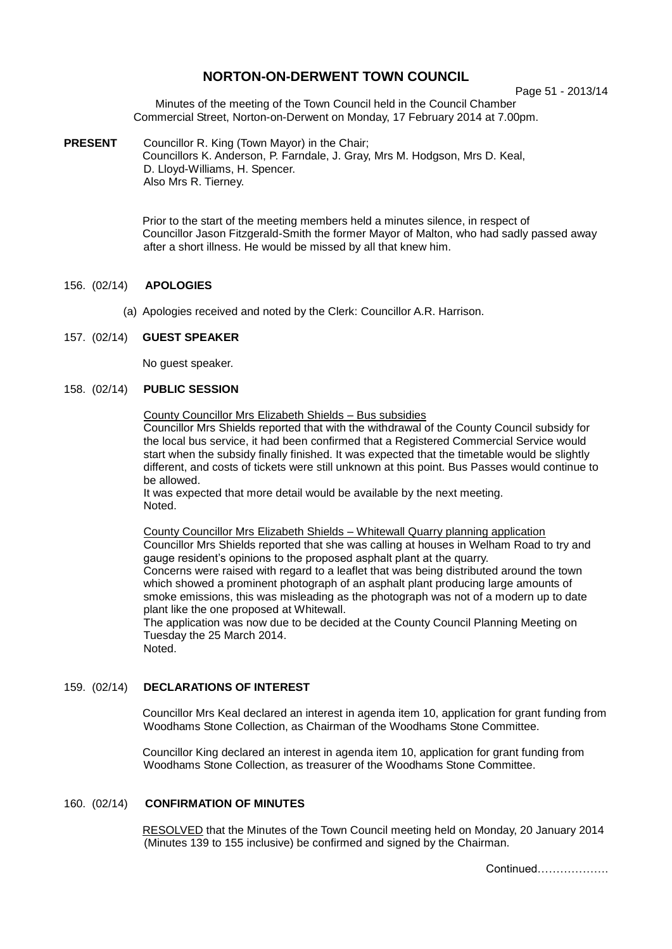# **NORTON-ON-DERWENT TOWN COUNCIL**

Page 51 - 2013/14

Minutes of the meeting of the Town Council held in the Council Chamber Commercial Street, Norton-on-Derwent on Monday, 17 February 2014 at 7.00pm.

**PRESENT** Councillor R. King (Town Mayor) in the Chair; Councillors K. Anderson, P. Farndale, J. Gray, Mrs M. Hodgson, Mrs D. Keal, D. Lloyd-Williams, H. Spencer. Also Mrs R. Tierney.

> Prior to the start of the meeting members held a minutes silence, in respect of Councillor Jason Fitzgerald-Smith the former Mayor of Malton, who had sadly passed away after a short illness. He would be missed by all that knew him.

# 156. (02/14) **APOLOGIES**

(a) Apologies received and noted by the Clerk: Councillor A.R. Harrison.

# 157. (02/14) **GUEST SPEAKER**

No guest speaker.

#### 158. (02/14) **PUBLIC SESSION**

County Councillor Mrs Elizabeth Shields – Bus subsidies Councillor Mrs Shields reported that with the withdrawal of the County Council subsidy for the local bus service, it had been confirmed that a Registered Commercial Service would start when the subsidy finally finished. It was expected that the timetable would be slightly different, and costs of tickets were still unknown at this point. Bus Passes would continue to be allowed.

It was expected that more detail would be available by the next meeting. Noted.

County Councillor Mrs Elizabeth Shields – Whitewall Quarry planning application Councillor Mrs Shields reported that she was calling at houses in Welham Road to try and gauge resident's opinions to the proposed asphalt plant at the quarry. Concerns were raised with regard to a leaflet that was being distributed around the town which showed a prominent photograph of an asphalt plant producing large amounts of smoke emissions, this was misleading as the photograph was not of a modern up to date plant like the one proposed at Whitewall.

The application was now due to be decided at the County Council Planning Meeting on Tuesday the 25 March 2014. Noted.

# 159. (02/14) **DECLARATIONS OF INTEREST**

 Councillor Mrs Keal declared an interest in agenda item 10, application for grant funding from Woodhams Stone Collection, as Chairman of the Woodhams Stone Committee.

Councillor King declared an interest in agenda item 10, application for grant funding from Woodhams Stone Collection, as treasurer of the Woodhams Stone Committee.

#### 160. (02/14) **CONFIRMATION OF MINUTES**

RESOLVED that the Minutes of the Town Council meeting held on Monday, 20 January 2014 (Minutes 139 to 155 inclusive) be confirmed and signed by the Chairman.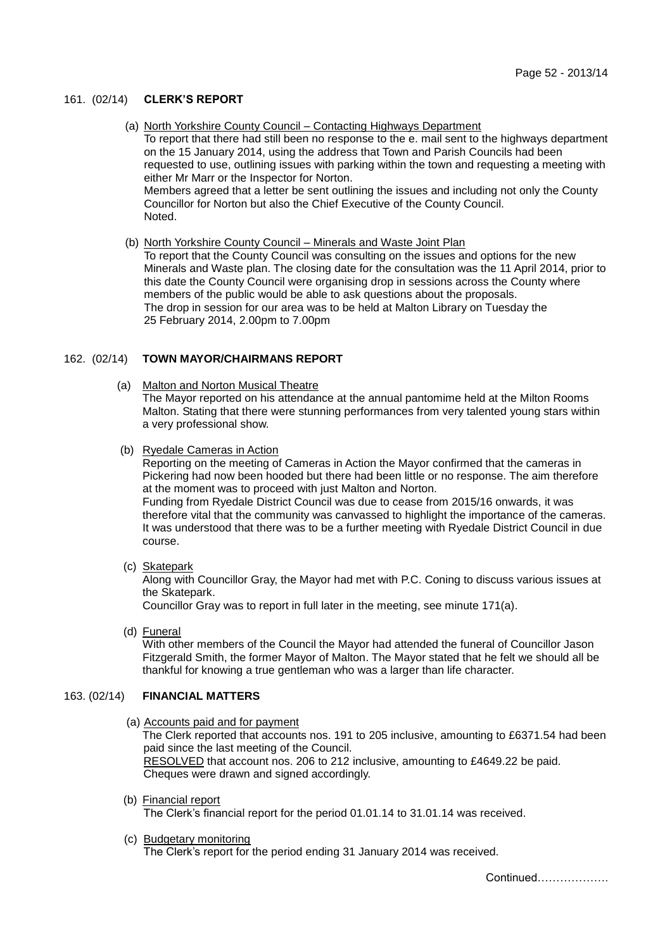#### 161. (02/14) **CLERK'S REPORT**

- (a) North Yorkshire County Council Contacting Highways Department
- To report that there had still been no response to the e. mail sent to the highways department on the 15 January 2014, using the address that Town and Parish Councils had been requested to use, outlining issues with parking within the town and requesting a meeting with either Mr Marr or the Inspector for Norton. Members agreed that a letter be sent outlining the issues and including not only the County Councillor for Norton but also the Chief Executive of the County Council. Noted.
- (b) North Yorkshire County Council Minerals and Waste Joint Plan

To report that the County Council was consulting on the issues and options for the new Minerals and Waste plan. The closing date for the consultation was the 11 April 2014, prior to this date the County Council were organising drop in sessions across the County where members of the public would be able to ask questions about the proposals. The drop in session for our area was to be held at Malton Library on Tuesday the 25 February 2014, 2.00pm to 7.00pm

# 162. (02/14) **TOWN MAYOR/CHAIRMANS REPORT**

- (a) Malton and Norton Musical Theatre The Mayor reported on his attendance at the annual pantomime held at the Milton Rooms Malton. Stating that there were stunning performances from very talented young stars within a very professional show.
- (b) Ryedale Cameras in Action

Reporting on the meeting of Cameras in Action the Mayor confirmed that the cameras in Pickering had now been hooded but there had been little or no response. The aim therefore at the moment was to proceed with just Malton and Norton. Funding from Ryedale District Council was due to cease from 2015/16 onwards, it was therefore vital that the community was canvassed to highlight the importance of the cameras. It was understood that there was to be a further meeting with Ryedale District Council in due course.

(c) Skatepark

Along with Councillor Gray, the Mayor had met with P.C. Coning to discuss various issues at the Skatepark.

Councillor Gray was to report in full later in the meeting, see minute 171(a).

(d) Funeral

With other members of the Council the Mayor had attended the funeral of Councillor Jason Fitzgerald Smith, the former Mayor of Malton. The Mayor stated that he felt we should all be thankful for knowing a true gentleman who was a larger than life character.

# 163. (02/14) **FINANCIAL MATTERS**

(a) Accounts paid and for payment

The Clerk reported that accounts nos. 191 to 205 inclusive, amounting to £6371.54 had been paid since the last meeting of the Council.

 RESOLVED that account nos. 206 to 212 inclusive, amounting to £4649.22 be paid. Cheques were drawn and signed accordingly.

(b) Financial report

The Clerk's financial report for the period 01.01.14 to 31.01.14 was received.

(c) Budgetary monitoring

The Clerk's report for the period ending 31 January 2014 was received.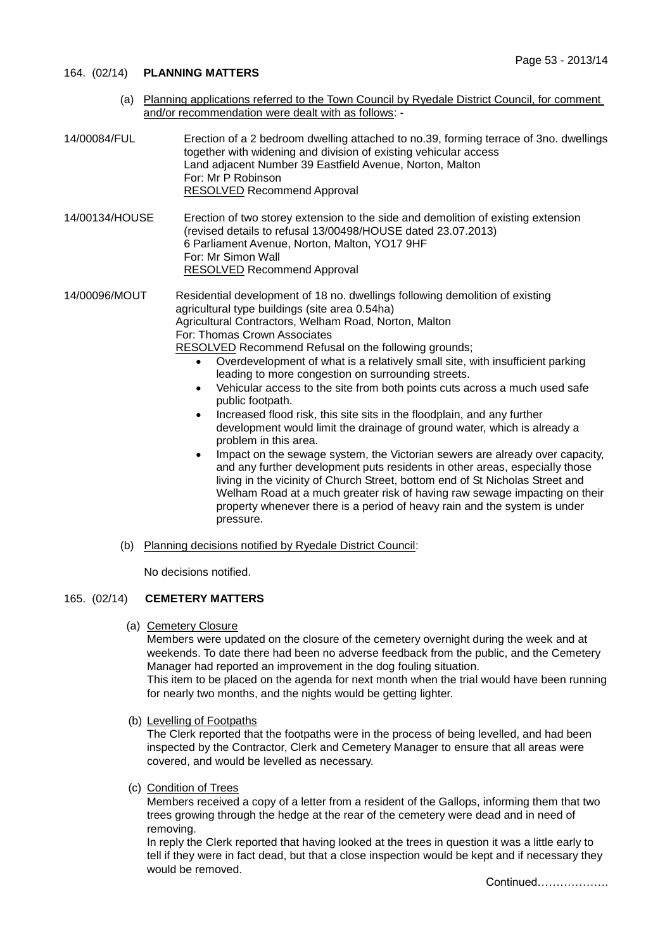# 164. (02/14) **PLANNING MATTERS**

- (a) Planning applications referred to the Town Council by Ryedale District Council, for comment and/or recommendation were dealt with as follows: -
- 14/00084/FUL Erection of a 2 bedroom dwelling attached to no.39, forming terrace of 3no. dwellings together with widening and division of existing vehicular access Land adjacent Number 39 Eastfield Avenue, Norton, Malton For: Mr P Robinson RESOLVED Recommend Approval
- 14/00134/HOUSE Erection of two storey extension to the side and demolition of existing extension (revised details to refusal 13/00498/HOUSE dated 23.07.2013) 6 Parliament Avenue, Norton, Malton, YO17 9HF For: Mr Simon Wall RESOLVED Recommend Approval

14/00096/MOUT Residential development of 18 no. dwellings following demolition of existing agricultural type buildings (site area 0.54ha) Agricultural Contractors, Welham Road, Norton, Malton For: Thomas Crown Associates RESOLVED Recommend Refusal on the following grounds;

- Overdevelopment of what is a relatively small site, with insufficient parking leading to more congestion on surrounding streets.
- Vehicular access to the site from both points cuts across a much used safe public footpath.
- Increased flood risk, this site sits in the floodplain, and any further development would limit the drainage of ground water, which is already a problem in this area.
- Impact on the sewage system, the Victorian sewers are already over capacity, and any further development puts residents in other areas, especially those living in the vicinity of Church Street, bottom end of St Nicholas Street and Welham Road at a much greater risk of having raw sewage impacting on their property whenever there is a period of heavy rain and the system is under pressure.
- (b) Planning decisions notified by Ryedale District Council:

No decisions notified.

# 165. (02/14) **CEMETERY MATTERS**

(a) Cemetery Closure

Members were updated on the closure of the cemetery overnight during the week and at weekends. To date there had been no adverse feedback from the public, and the Cemetery Manager had reported an improvement in the dog fouling situation.

This item to be placed on the agenda for next month when the trial would have been running for nearly two months, and the nights would be getting lighter.

(b) Levelling of Footpaths

The Clerk reported that the footpaths were in the process of being levelled, and had been inspected by the Contractor, Clerk and Cemetery Manager to ensure that all areas were covered, and would be levelled as necessary.

(c) Condition of Trees

Members received a copy of a letter from a resident of the Gallops, informing them that two trees growing through the hedge at the rear of the cemetery were dead and in need of removing.

In reply the Clerk reported that having looked at the trees in question it was a little early to tell if they were in fact dead, but that a close inspection would be kept and if necessary they would be removed.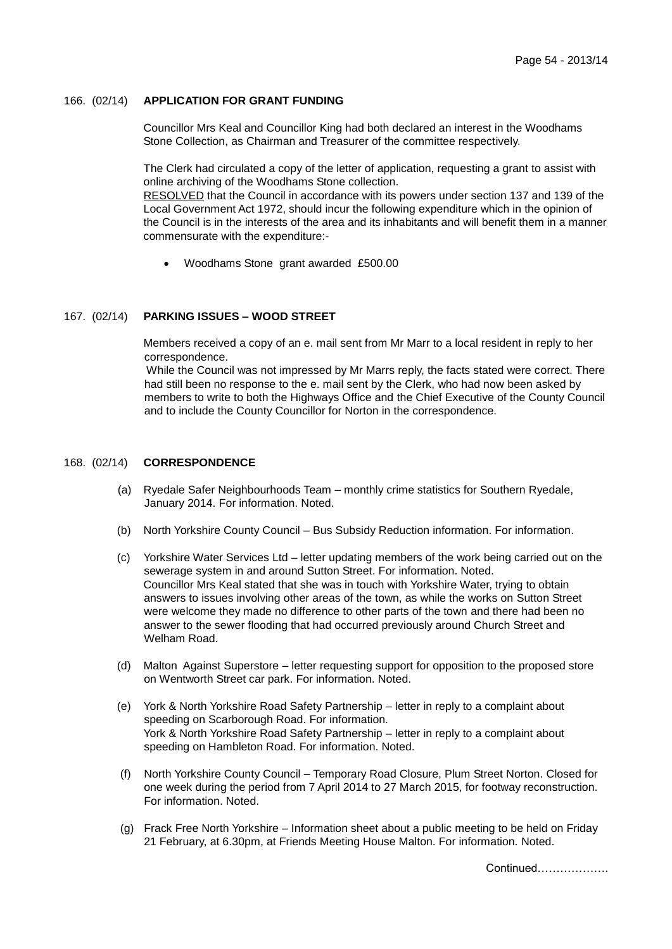#### 166. (02/14) **APPLICATION FOR GRANT FUNDING**

 Councillor Mrs Keal and Councillor King had both declared an interest in the Woodhams Stone Collection, as Chairman and Treasurer of the committee respectively.

The Clerk had circulated a copy of the letter of application, requesting a grant to assist with online archiving of the Woodhams Stone collection.

RESOLVED that the Council in accordance with its powers under section 137 and 139 of the Local Government Act 1972, should incur the following expenditure which in the opinion of the Council is in the interests of the area and its inhabitants and will benefit them in a manner commensurate with the expenditure:-

Woodhams Stone grant awarded £500.00

# 167. (02/14) **PARKING ISSUES – WOOD STREET**

 Members received a copy of an e. mail sent from Mr Marr to a local resident in reply to her correspondence.

While the Council was not impressed by Mr Marrs reply, the facts stated were correct. There had still been no response to the e. mail sent by the Clerk, who had now been asked by members to write to both the Highways Office and the Chief Executive of the County Council and to include the County Councillor for Norton in the correspondence.

# 168. (02/14) **CORRESPONDENCE**

- (a) Ryedale Safer Neighbourhoods Team monthly crime statistics for Southern Ryedale, January 2014. For information. Noted.
- (b) North Yorkshire County Council Bus Subsidy Reduction information. For information.
- (c) Yorkshire Water Services Ltd letter updating members of the work being carried out on the sewerage system in and around Sutton Street. For information. Noted. Councillor Mrs Keal stated that she was in touch with Yorkshire Water, trying to obtain answers to issues involving other areas of the town, as while the works on Sutton Street were welcome they made no difference to other parts of the town and there had been no answer to the sewer flooding that had occurred previously around Church Street and Welham Road.
- (d) Malton Against Superstore letter requesting support for opposition to the proposed store on Wentworth Street car park. For information. Noted.
- (e) York & North Yorkshire Road Safety Partnership letter in reply to a complaint about speeding on Scarborough Road. For information. York & North Yorkshire Road Safety Partnership – letter in reply to a complaint about speeding on Hambleton Road. For information. Noted.
- (f) North Yorkshire County Council Temporary Road Closure, Plum Street Norton. Closed for one week during the period from 7 April 2014 to 27 March 2015, for footway reconstruction. For information. Noted.
- (g) Frack Free North Yorkshire Information sheet about a public meeting to be held on Friday 21 February, at 6.30pm, at Friends Meeting House Malton. For information. Noted.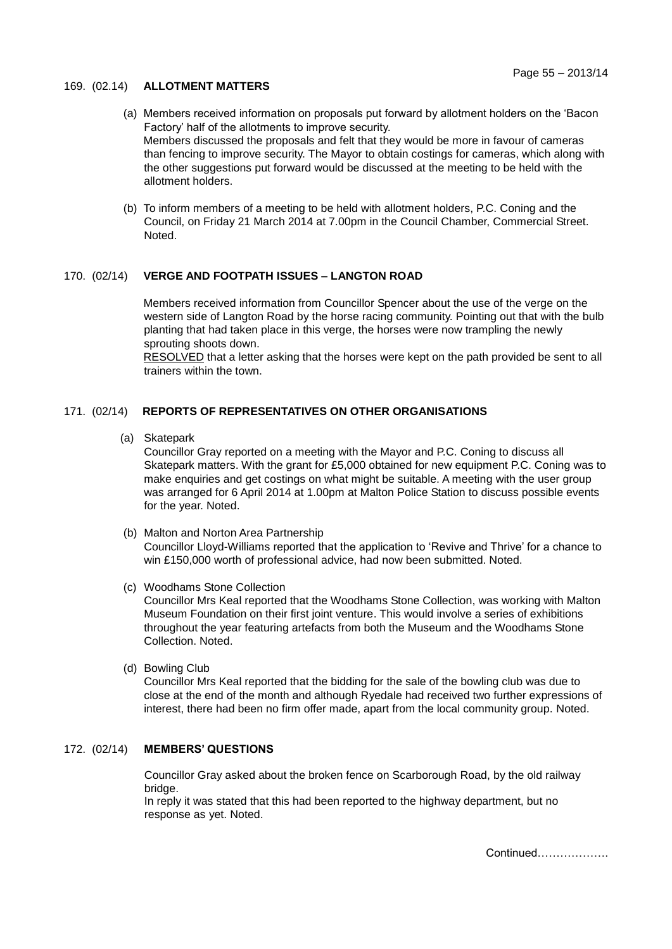#### 169. (02.14) **ALLOTMENT MATTERS**

- (a) Members received information on proposals put forward by allotment holders on the 'Bacon Factory' half of the allotments to improve security. Members discussed the proposals and felt that they would be more in favour of cameras than fencing to improve security. The Mayor to obtain costings for cameras, which along with the other suggestions put forward would be discussed at the meeting to be held with the allotment holders.
- (b) To inform members of a meeting to be held with allotment holders, P.C. Coning and the Council, on Friday 21 March 2014 at 7.00pm in the Council Chamber, Commercial Street. Noted.

# 170. (02/14) **VERGE AND FOOTPATH ISSUES – LANGTON ROAD**

Members received information from Councillor Spencer about the use of the verge on the western side of Langton Road by the horse racing community. Pointing out that with the bulb planting that had taken place in this verge, the horses were now trampling the newly sprouting shoots down.

RESOLVED that a letter asking that the horses were kept on the path provided be sent to all trainers within the town.

# 171. (02/14) **REPORTS OF REPRESENTATIVES ON OTHER ORGANISATIONS**

(a) Skatepark

Councillor Gray reported on a meeting with the Mayor and P.C. Coning to discuss all Skatepark matters. With the grant for £5,000 obtained for new equipment P.C. Coning was to make enquiries and get costings on what might be suitable. A meeting with the user group was arranged for 6 April 2014 at 1.00pm at Malton Police Station to discuss possible events for the year. Noted.

- (b) Malton and Norton Area Partnership Councillor Lloyd-Williams reported that the application to 'Revive and Thrive' for a chance to win £150,000 worth of professional advice, had now been submitted. Noted.
- (c) Woodhams Stone Collection

Councillor Mrs Keal reported that the Woodhams Stone Collection, was working with Malton Museum Foundation on their first joint venture. This would involve a series of exhibitions throughout the year featuring artefacts from both the Museum and the Woodhams Stone Collection. Noted.

(d) Bowling Club

Councillor Mrs Keal reported that the bidding for the sale of the bowling club was due to close at the end of the month and although Ryedale had received two further expressions of interest, there had been no firm offer made, apart from the local community group. Noted.

#### 172. (02/14) **MEMBERS' QUESTIONS**

Councillor Gray asked about the broken fence on Scarborough Road, by the old railway bridge.

In reply it was stated that this had been reported to the highway department, but no response as yet. Noted.